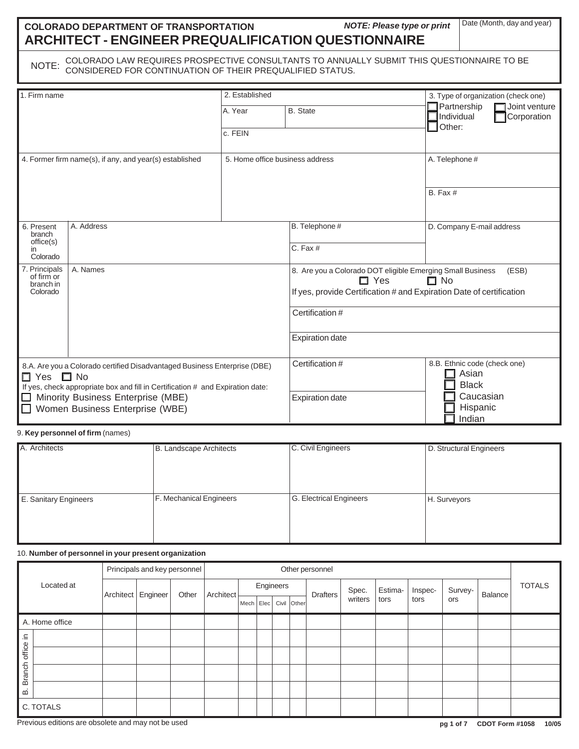# **COLORADO DEPARTMENT OF TRANSPORTATION ARCHITECT - ENGINEER PREQUALIFICATION QUESTIONNAIRE**

**NOTE: Please type or print Date (Month, day and year)** 

NOTE: COLORADO LAW REQUIRES PROSPECTIVE CONSULTANTS TO ANNUALLY SUBMIT THIS QUESTIONNAIRE TO BE<br>NOTE: CONSIDERED FOR CONTINUATION OF THEIR PREQUALIFIED STATUS.

| 1. Firm name                                                                                                                                                                                                                                                             |            | 2. Established                  |                                                                                                                                                                        | 3. Type of organization (check one)                                                      |  |  |
|--------------------------------------------------------------------------------------------------------------------------------------------------------------------------------------------------------------------------------------------------------------------------|------------|---------------------------------|------------------------------------------------------------------------------------------------------------------------------------------------------------------------|------------------------------------------------------------------------------------------|--|--|
|                                                                                                                                                                                                                                                                          |            | A. Year<br>c. FEIN              | <b>B.</b> State                                                                                                                                                        | Partnership<br>$\blacksquare$ Joint venture<br>Corporation<br>Individual<br>Other:       |  |  |
| 4. Former firm name(s), if any, and year(s) established                                                                                                                                                                                                                  |            | 5. Home office business address |                                                                                                                                                                        | A. Telephone #                                                                           |  |  |
|                                                                                                                                                                                                                                                                          |            |                                 |                                                                                                                                                                        | $B.$ Fax $#$                                                                             |  |  |
| 6. Present<br>branch<br>office(s)<br>in<br>Colorado                                                                                                                                                                                                                      | A. Address |                                 | B. Telephone #<br>C. Fax #                                                                                                                                             | D. Company E-mail address                                                                |  |  |
| 7. Principals<br>of firm or<br>branch in<br>Colorado                                                                                                                                                                                                                     | A. Names   |                                 | 8. Are you a Colorado DOT eligible Emerging Small Business<br>(ESB)<br>$\Box$ Yes<br>$\Box$ No<br>If yes, provide Certification # and Expiration Date of certification |                                                                                          |  |  |
|                                                                                                                                                                                                                                                                          |            |                                 | Certification #                                                                                                                                                        |                                                                                          |  |  |
|                                                                                                                                                                                                                                                                          |            |                                 | <b>Expiration date</b>                                                                                                                                                 |                                                                                          |  |  |
| 8.A. Are you a Colorado certified Disadvantaged Business Enterprise (DBE)<br>П.<br>$\square$ No<br><b>Yes</b><br>If yes, check appropriate box and fill in Certification # and Expiration date:<br>Minority Business Enterprise (MBE)<br>Women Business Enterprise (WBE) |            |                                 | Certification #<br><b>Expiration date</b>                                                                                                                              | 8.B. Ethnic code (check one)<br>Asian<br><b>Black</b><br>Caucasian<br>Hispanic<br>Indian |  |  |

9. **Key personnel of firm** (names)

| A. Architects         | B. Landscape Architects | C. Civil Engineers      | D. Structural Engineers |
|-----------------------|-------------------------|-------------------------|-------------------------|
|                       |                         |                         |                         |
|                       |                         |                         |                         |
|                       |                         |                         |                         |
| E. Sanitary Engineers | F. Mechanical Engineers | G. Electrical Engineers | H. Surveyors            |
|                       |                         |                         |                         |
|                       |                         |                         |                         |
|                       |                         |                         |                         |
|                       |                         |                         |                         |

## 10. **Number of personnel in your present organization**

|                       |                                | Principals and key personnel |  |  | Other personnel |             |                 |       |             |         |         |         |               |     |  |  |
|-----------------------|--------------------------------|------------------------------|--|--|-----------------|-------------|-----------------|-------|-------------|---------|---------|---------|---------------|-----|--|--|
| Located at            | Engineer<br>Other<br>Architect | Architect                    |  |  | Engineers       |             | <b>Drafters</b> | Spec. | Estima-     | Inspec- | Survey- | Balance | <b>TOTALS</b> |     |  |  |
|                       |                                |                              |  |  |                 | Mech   Elec |                 |       | Civil Other |         | writers | tors    | tors          | ors |  |  |
|                       | A. Home office                 |                              |  |  |                 |             |                 |       |             |         |         |         |               |     |  |  |
| $\mathrel{\mathop:}=$ |                                |                              |  |  |                 |             |                 |       |             |         |         |         |               |     |  |  |
| office                |                                |                              |  |  |                 |             |                 |       |             |         |         |         |               |     |  |  |
| <b>Branch</b>         |                                |                              |  |  |                 |             |                 |       |             |         |         |         |               |     |  |  |
| മ                     |                                |                              |  |  |                 |             |                 |       |             |         |         |         |               |     |  |  |
|                       | C. TOTALS                      |                              |  |  |                 |             |                 |       |             |         |         |         |               |     |  |  |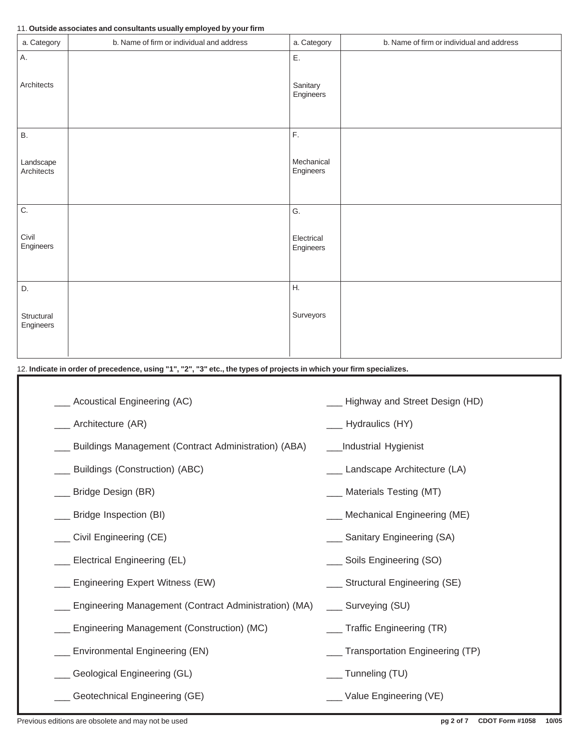### 11. **Outside associates and consultants usually employed by your firm**

| a. Category             | b. Name of firm or individual and address | a. Category             | b. Name of firm or individual and address |
|-------------------------|-------------------------------------------|-------------------------|-------------------------------------------|
| Α.                      |                                           | Ε.                      |                                           |
| Architects              |                                           | Sanitary<br>Engineers   |                                           |
| В.                      |                                           | $\mathsf{F}.$           |                                           |
| Landscape<br>Architects |                                           | Mechanical<br>Engineers |                                           |
| $\overline{C}$ .        |                                           | G.                      |                                           |
| Civil<br>Engineers      |                                           | Electrical<br>Engineers |                                           |
| D.                      |                                           | H.                      |                                           |
| Structural<br>Engineers |                                           | Surveyors               |                                           |

## 12. **Indicate in order of precedence, using "1", "2", "3" etc., the types of projects in which your firm specializes.**

| _ Acoustical Engineering (AC)                            | _ Highway and Street Design (HD) |
|----------------------------------------------------------|----------------------------------|
| _ Architecture (AR)                                      | _ Hydraulics (HY)                |
| _ Buildings Management (Contract Administration) (ABA)   | Industrial Hygienist             |
| __ Buildings (Construction) (ABC)                        | __ Landscape Architecture (LA)   |
| __ Bridge Design (BR)                                    | ___ Materials Testing (MT)       |
| _ Bridge Inspection (BI)                                 | ___ Mechanical Engineering (ME)  |
| __ Civil Engineering (CE)                                | ___ Sanitary Engineering (SA)    |
| _ Electrical Engineering (EL)                            | ___ Soils Engineering (SO)       |
| _ Engineering Expert Witness (EW)                        | ___ Structural Engineering (SE)  |
| __ Engineering Management (Contract Administration) (MA) | ___ Surveying (SU)               |
| _ Engineering Management (Construction) (MC)             | __ Traffic Engineering (TR)      |
| _ Environmental Engineering (EN)                         | Transportation Engineering (TP)  |
| _ Geological Engineering (GL)                            | ___ Tunneling (TU)               |
| Geotechnical Engineering (GE)                            | __ Value Engineering (VE)        |
|                                                          |                                  |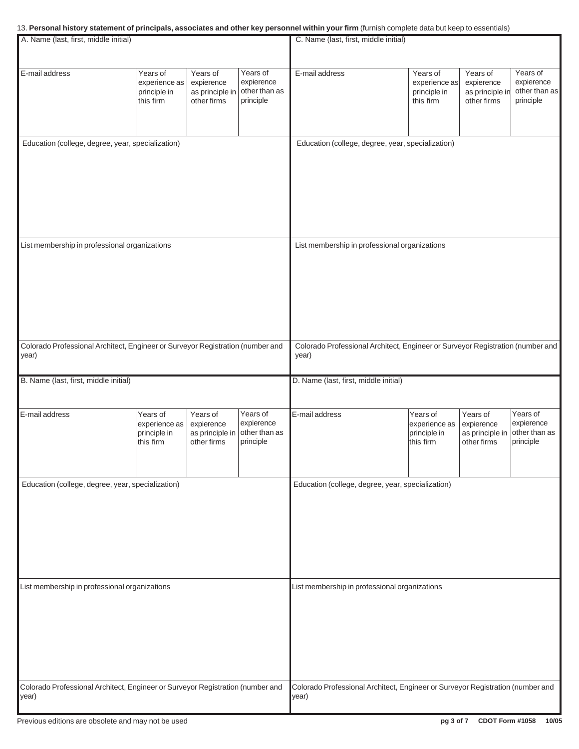### 13. **Personal history statement of principals, associates and other key personnel within your firm** (furnish complete data but keep to essentials)

| A. Name (last, first, middle initial)                                                                                           |                                                        |                                                          |                                                      | C. Name (last, first, middle initial)                                                                                           |                                                        |                                                          |                                                      |
|---------------------------------------------------------------------------------------------------------------------------------|--------------------------------------------------------|----------------------------------------------------------|------------------------------------------------------|---------------------------------------------------------------------------------------------------------------------------------|--------------------------------------------------------|----------------------------------------------------------|------------------------------------------------------|
|                                                                                                                                 |                                                        |                                                          |                                                      |                                                                                                                                 |                                                        |                                                          |                                                      |
| E-mail address                                                                                                                  | Years of<br>experience as<br>principle in<br>this firm | Years of<br>expierence<br>as principle in<br>other firms | Years of<br>expierence<br>other than as<br>principle | E-mail address                                                                                                                  | Years of<br>experience as<br>principle in<br>this firm | Years of<br>expierence<br>as principle in<br>other firms | Years of<br>expierence<br>other than as<br>principle |
| Education (college, degree, year, specialization)                                                                               |                                                        |                                                          |                                                      | Education (college, degree, year, specialization)                                                                               |                                                        |                                                          |                                                      |
| List membership in professional organizations                                                                                   |                                                        |                                                          |                                                      | List membership in professional organizations                                                                                   |                                                        |                                                          |                                                      |
| Colorado Professional Architect, Engineer or Surveyor Registration (number and<br>year)                                         |                                                        |                                                          |                                                      | Colorado Professional Architect, Engineer or Surveyor Registration (number and<br>year)                                         |                                                        |                                                          |                                                      |
| B. Name (last, first, middle initial)                                                                                           |                                                        |                                                          |                                                      | D. Name (last, first, middle initial)                                                                                           |                                                        |                                                          |                                                      |
| E-mail address                                                                                                                  | Years of<br>experience as<br>principle in<br>this firm | Years of<br>expierence<br>as principle in<br>other firms | Years of<br>expierence<br>other than as<br>principle | E-mail address                                                                                                                  | Years of<br>experience as<br>principle in<br>this firm | Years of<br>expierence<br>as principle in<br>other firms | Years of<br>expierence<br>other than as<br>principle |
| Education (college, degree, year, specialization)                                                                               |                                                        |                                                          |                                                      | Education (college, degree, year, specialization)                                                                               |                                                        |                                                          |                                                      |
| List membership in professional organizations<br>Colorado Professional Architect, Engineer or Surveyor Registration (number and |                                                        |                                                          |                                                      | List membership in professional organizations<br>Colorado Professional Architect, Engineer or Surveyor Registration (number and |                                                        |                                                          |                                                      |
| year)                                                                                                                           |                                                        |                                                          |                                                      | year)                                                                                                                           |                                                        |                                                          |                                                      |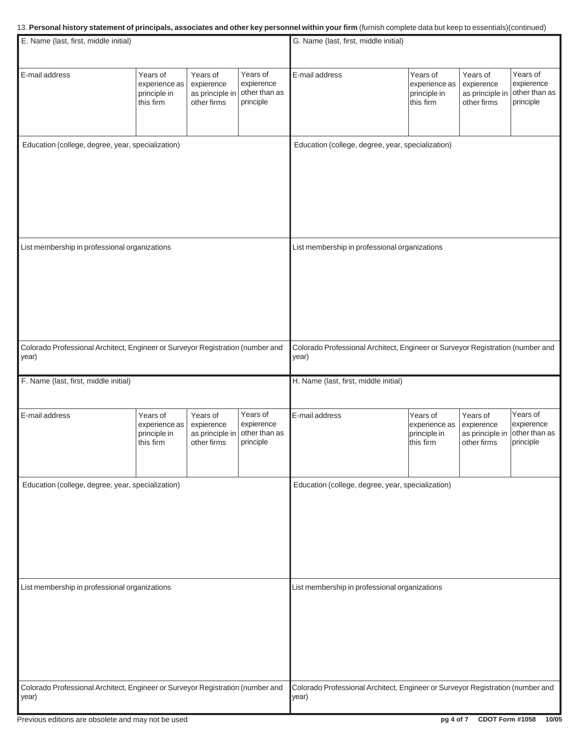#### 13. **Personal history statement of principals, associates and other key personnel within your firm** (furnish complete data but keep to essentials)(continued)

| E. Name (last, first, middle initial)                                                   |                                                        |                                                          |                                                      | G. Name (last, first, middle initial)                                                   |                                                        |                                                          |                                                      |
|-----------------------------------------------------------------------------------------|--------------------------------------------------------|----------------------------------------------------------|------------------------------------------------------|-----------------------------------------------------------------------------------------|--------------------------------------------------------|----------------------------------------------------------|------------------------------------------------------|
|                                                                                         |                                                        |                                                          |                                                      |                                                                                         |                                                        |                                                          |                                                      |
| E-mail address                                                                          | Years of<br>experience as<br>principle in<br>this firm | Years of<br>expierence<br>as principle in<br>other firms | Years of<br>expierence<br>other than as<br>principle | E-mail address                                                                          | Years of<br>experience as<br>principle in<br>this firm | Years of<br>expierence<br>as principle in<br>other firms | Years of<br>expierence<br>other than as<br>principle |
| Education (college, degree, year, specialization)                                       |                                                        |                                                          |                                                      | Education (college, degree, year, specialization)                                       |                                                        |                                                          |                                                      |
|                                                                                         |                                                        |                                                          |                                                      |                                                                                         |                                                        |                                                          |                                                      |
| List membership in professional organizations                                           |                                                        |                                                          |                                                      | List membership in professional organizations                                           |                                                        |                                                          |                                                      |
| Colorado Professional Architect, Engineer or Surveyor Registration (number and<br>year) |                                                        |                                                          |                                                      | Colorado Professional Architect, Engineer or Surveyor Registration (number and<br>year) |                                                        |                                                          |                                                      |
| F. Name (last, first, middle initial)                                                   |                                                        |                                                          |                                                      | H. Name (last, first, middle initial)                                                   |                                                        |                                                          |                                                      |
| E-mail address                                                                          | Years of<br>experience as<br>principle in<br>this firm | Years of<br>expierence<br>as principle in<br>other firms | Years of<br>expierence<br>other than as<br>principle | E-mail address                                                                          | Years of<br>experience as<br>principle in<br>this firm | Years of<br>expierence<br>as principle in<br>other firms | Years of<br>expierence<br>other than as<br>principle |
| Education (college, degree, year, specialization)                                       |                                                        |                                                          |                                                      | Education (college, degree, year, specialization)                                       |                                                        |                                                          |                                                      |
| List membership in professional organizations                                           |                                                        |                                                          |                                                      | List membership in professional organizations                                           |                                                        |                                                          |                                                      |
| Colorado Professional Architect, Engineer or Surveyor Registration (number and<br>year) |                                                        |                                                          |                                                      | Colorado Professional Architect, Engineer or Surveyor Registration (number and<br>year) |                                                        |                                                          |                                                      |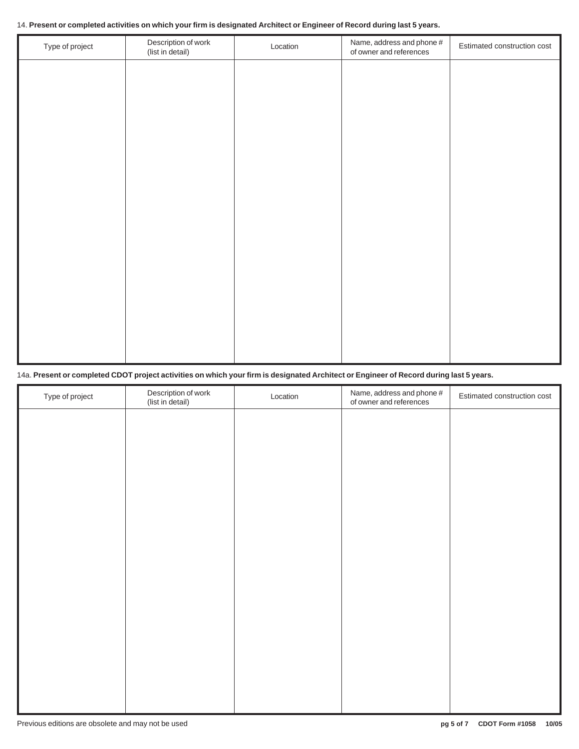#### 14. **Present or completed activities on which your firm is designated Architect or Engineer of Record during last 5 years.**

| Type of project | Description of work<br>(list in detail) | Location | Name, address and phone #<br>of owner and references | Estimated construction cost |
|-----------------|-----------------------------------------|----------|------------------------------------------------------|-----------------------------|
|                 |                                         |          |                                                      |                             |
|                 |                                         |          |                                                      |                             |
|                 |                                         |          |                                                      |                             |
|                 |                                         |          |                                                      |                             |
|                 |                                         |          |                                                      |                             |
|                 |                                         |          |                                                      |                             |
|                 |                                         |          |                                                      |                             |
|                 |                                         |          |                                                      |                             |
|                 |                                         |          |                                                      |                             |
|                 |                                         |          |                                                      |                             |
|                 |                                         |          |                                                      |                             |
|                 |                                         |          |                                                      |                             |

### 14a. **Present or completed CDOT project activities on which your firm is designated Architect or Engineer of Record during last 5 years.**

| Type of project | Description of work<br>(list in detail) | Location | Name, address and phone #<br>of owner and references | Estimated construction cost |
|-----------------|-----------------------------------------|----------|------------------------------------------------------|-----------------------------|
|                 |                                         |          |                                                      |                             |
|                 |                                         |          |                                                      |                             |
|                 |                                         |          |                                                      |                             |
|                 |                                         |          |                                                      |                             |
|                 |                                         |          |                                                      |                             |
|                 |                                         |          |                                                      |                             |
|                 |                                         |          |                                                      |                             |
|                 |                                         |          |                                                      |                             |
|                 |                                         |          |                                                      |                             |
|                 |                                         |          |                                                      |                             |
|                 |                                         |          |                                                      |                             |
|                 |                                         |          |                                                      |                             |
|                 |                                         |          |                                                      |                             |
|                 |                                         |          |                                                      |                             |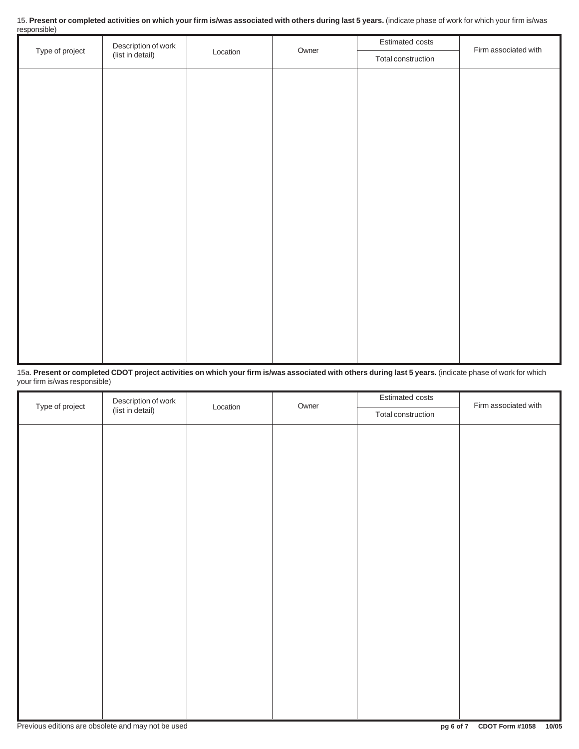| 15. Present or completed activities on which your firm is/was associated with others during last 5 years. (indicate phase of work for which your firm is/was |  |
|--------------------------------------------------------------------------------------------------------------------------------------------------------------|--|
| responsible)                                                                                                                                                 |  |

|                 | Description of work<br>(list in detail) | Location | Owner | Estimated costs    | Firm associated with |
|-----------------|-----------------------------------------|----------|-------|--------------------|----------------------|
| Type of project |                                         |          |       | Total construction |                      |
|                 |                                         |          |       |                    |                      |
|                 |                                         |          |       |                    |                      |
|                 |                                         |          |       |                    |                      |
|                 |                                         |          |       |                    |                      |
|                 |                                         |          |       |                    |                      |
|                 |                                         |          |       |                    |                      |
|                 |                                         |          |       |                    |                      |
|                 |                                         |          |       |                    |                      |
|                 |                                         |          |       |                    |                      |
|                 |                                         |          |       |                    |                      |
|                 |                                         |          |       |                    |                      |
|                 |                                         |          |       |                    |                      |
|                 |                                         |          |       |                    |                      |
|                 |                                         |          |       |                    |                      |
|                 |                                         |          |       |                    |                      |
|                 |                                         |          |       |                    |                      |
|                 |                                         |          |       |                    |                      |
|                 |                                         |          |       |                    |                      |

15a. **Present or completed CDOT project activities on which your firm is/was associated with others during last 5 years.** (indicate phase of work for which your firm is/was responsible)

| Type of project | Description of work<br>(list in detail) | Owner    | Estimated costs | Firm associated with |  |
|-----------------|-----------------------------------------|----------|-----------------|----------------------|--|
|                 |                                         | Location |                 |                      |  |
|                 |                                         |          |                 |                      |  |
|                 |                                         |          |                 |                      |  |
|                 |                                         |          |                 |                      |  |
|                 |                                         |          |                 |                      |  |
|                 |                                         |          |                 |                      |  |
|                 |                                         |          |                 |                      |  |
|                 |                                         |          |                 |                      |  |
|                 |                                         |          |                 |                      |  |
|                 |                                         |          |                 |                      |  |
|                 |                                         |          |                 |                      |  |
|                 |                                         |          |                 |                      |  |
|                 |                                         |          |                 |                      |  |
|                 |                                         |          |                 |                      |  |
|                 |                                         |          |                 |                      |  |
|                 |                                         |          |                 |                      |  |
|                 |                                         |          |                 |                      |  |
|                 |                                         |          |                 |                      |  |
|                 |                                         |          |                 |                      |  |
|                 |                                         |          |                 |                      |  |